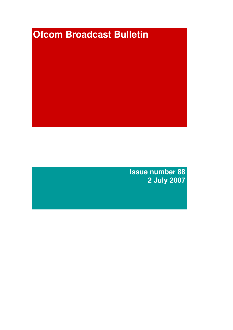# **Ofcom Broadcast Bulletin**

**Issue number 88 2 July 2007**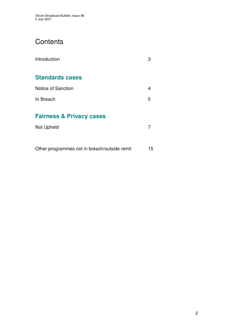# **Contents**

| Introduction                                      | 3 |
|---------------------------------------------------|---|
| <b>Standards cases</b>                            |   |
| Notice of Sanction                                | 4 |
| In Breach                                         | 5 |
| <b>Fairness &amp; Privacy cases</b><br>Not Upheld | 7 |
|                                                   |   |

Other programmes not in breach/outside remit 15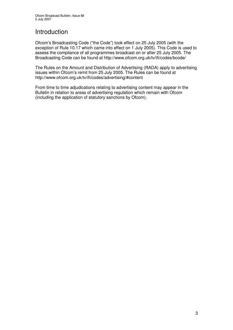# **Introduction**

Ofcom's Broadcasting Code ("the Code") took effect on 25 July 2005 (with the exception of Rule 10.17 which came into effect on 1 July 2005). This Code is used to assess the compliance of all programmes broadcast on or after 25 July 2005. The Broadcasting Code can be found at http://www.ofcom.org.uk/tv/ifi/codes/bcode/

The Rules on the Amount and Distribution of Advertising (RADA) apply to advertising issues within Ofcom's remit from 25 July 2005. The Rules can be found at http://www.ofcom.org.uk/tv/ifi/codes/advertising/#content

From time to time adjudications relating to advertising content may appear in the Bulletin in relation to areas of advertising regulation which remain with Ofcom (including the application of statutory sanctions by Ofcom).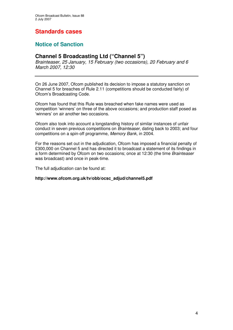# **Standards cases**

# **Notice of Sanction**

### **Channel 5 Broadcasting Ltd ("Channel 5")**

*Brainteaser*, *25 January, 15 February (two occasions), 20 February and 6 March 2007, 12:30*

On 26 June 2007, Ofcom published its decision to impose a statutory sanction on Channel 5 for breaches of Rule 2.11 (competitions should be conducted fairly) of Ofcom's Broadcasting Code.

Ofcom has found that this Rule was breached when fake names were used as competition 'winners' on three of the above occasions; and production staff posed as 'winners' on air another two occasions.

Ofcom also took into account a longstanding history of similar instances of unfair conduct in seven previous competitions on *Brainteaser*, dating back to 2003; and four competitions on a spin-off programme, *Memory Bank*, in 2004.

For the reasons set out in the adjudication, Ofcom has imposed a financial penalty of £300,000 on Channel 5 and has directed it to broadcast a statement of its findings in a form determined by Ofcom on two occasions; once at 12:30 (the time *Brainteaser* was broadcast) and once in peak-time.

The full adjudication can be found at:

**http://www.ofcom.org.uk/tv/obb/ocsc\_adjud/channel5.pdf**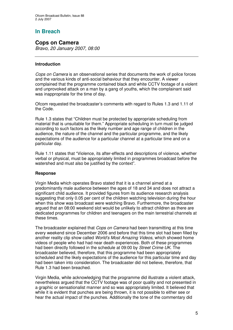# **In Breach**

**Cops on Camera** *Bravo, 20 January 2007, 08:00*

# **Introduction**

*Cops on Camera* is an observational series that documents the work of police forces and the various kinds of anti-social behaviour that they encounter. A viewer complained that the programme contained black and white CCTV footage of a violent and unprovoked attack on a man by a gang of youths, which the complainant said was inappropriate for the time of day.

Ofcom requested the broadcaster's comments with regard to Rules 1.3 and 1.11 of the Code.

Rule 1.3 states that "Children must be protected by appropriate scheduling from material that is unsuitable for them." Appropriate scheduling in turn must be judged according to such factors as the likely number and age range of children in the audience, the nature of the channel and the particular programme, and the likely expectations of the audience for a particular channel at a particular time and on a particular day.

Rule 1.11 states that "Violence, its after-effects and descriptions of violence, whether verbal or physical, must be appropriately limited in programmes broadcast before the watershed and must also be justified by the context".

### **Response**

Virgin Media which operates Bravo stated that it is a channel aimed at a predominantly male audience between the ages of 18 and 34 and does not attract a significant child audience. It provided figures from its audience research analysis suggesting that only 0.05 per cent of the children watching television during the hour when this show was broadcast were watching Bravo. Furthermore, the broadcaster argued that an 08:00 weekend slot would be unlikely to attract children as there are dedicated programmes for children and teenagers on the main terrestrial channels at these times.

The broadcaster explained that *Cops on Camera* had been transmitting at this time every weekend since December 2006 and before that this time slot had been filled by another reality clip show called *World's Most Amazing Videos*, which showed home videos of people who had had near death experiences. Both of these programmes had been directly followed in the schedule at 09:00 by *Street Crime UK*. The broadcaster believed, therefore, that this programme had been appropriately scheduled and the likely expectations of the audience for this particular time and day had been taken into consideration. The broadcaster did not believe, therefore, that Rule 1.3 had been breached.

Virgin Media, while acknowledging that the programme did illustrate a violent attack, nevertheless argued that the CCTV footage was of poor quality and not presented in a graphic or sensationalist manner and so was appropriately limited. It believed that while it is evident that punches are being thrown, it is not possible to either see or hear the actual impact of the punches. Additionally the tone of the commentary did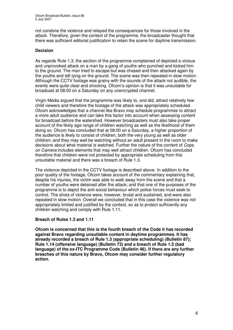not condone the violence and relayed the consequences for those involved in the attack. Therefore, given the context of the programme, the broadcaster thought that there was sufficient editorial justification to retain the scene for daytime transmission.

### **Decision**

As regards Rule 1.3, the section of the programme complained of depicted a vicious and unprovoked attack on a man by a gang of youths who punched and kicked him to the ground. The man tried to escape but was chased and then attacked again by the youths and left lying on the ground. The scene was then repeated in slow motion. Although the CCTV footage was grainy with the sounds of the attack not audible, the events were quite clear and shocking. Ofcom's opinion is that it was unsuitable for broadcast at 08:00 on a Saturday on any unencrypted channel.

Virgin Media argued that the programme was likely to, and did, attract relatively few child viewers and therefore the footage of the attack was appropriately scheduled. Ofcom acknowledges that a channel like Bravo may schedule programmes to attract a more adult audience and can take this factor into account when assessing content for broadcast before the watershed. However broadcasters must also take proper account of the likely age range of children watching as well as the likelihood of them doing so. Ofcom has concluded that at 08:00 on a Saturday, a higher proportion of the audience is likely to consist of children, both the very young as well as older children; and they may well be watching without an adult present in the room to make decisions about what material is watched. Further the nature of the content of *Cops on Camera* includes elements that may well attract children. Ofcom has concluded therefore that children were not protected by appropriate scheduling from this unsuitable material and there was a breach of Rule 1.3.

The violence depicted in the CCTV footage is described above. In addition to the poor quality of the footage, Ofcom takes account of the commentary explaining that, despite his injuries, the victim was able to walk away from the scene and that a number of youths were detained after the attack; and that one of the purposes of the programme is to depict the anti-social behaviour which police forces must seek to control. The shots of violence were, however, brutal and sustained, and were also repeated in slow motion. Overall we concluded that in this case the violence was not appropriately limited and justified by the context, so as to protect sufficiently any children watching and comply with Rule 1.11.

### **Breach of Rules 1.3 and 1.11**

**Ofcom is concerned that this is the fourth breach of the Code it has recorded against Bravo regarding unsuitable content in daytime programmes. It has already recorded a breach of Rule 1.3 (appropriate scheduling) (Bulletin 87); Rule 1.14 (offensive language) (Bulletin 73) and a breach of Rule 1.5 (bad language) of the ex-ITC Programme Code (Bulletin 46). If there are any further breaches of this nature by Bravo, Ofcom may consider further regulatory action.**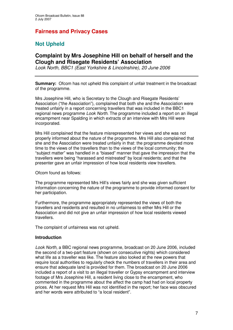# **Fairness and Privacy Cases**

# **Not Upheld**

### **Complaint by Mrs Josephine Hill on behalf of herself and the Clough and Risegate Residents' Association**

*Look North, BBC1 (East Yorkshire & Lincolnshire), 20 June 2006*

**Summary:** Ofcom has not upheld this complaint of unfair treatment in the broadcast of the programme.

Mrs Josephine Hill, who is Secretary to the Clough and Risegate Residents' Association ("the Association"), complained that both she and the Association were treated unfairly in a report concerning travellers that was included in the BBC1 regional news programme *Look North*. The programme included a report on an illegal encampment near Spalding in which extracts of an interview with Mrs Hill were incorporated.

Mrs Hill complained that the feature misrepresented her views and she was not properly informed about the nature of the programme. Mrs Hill also complained that she and the Association were treated unfairly in that: the programme devoted more time to the views of the travellers than to the views of the local community; the "subject matter" was handled in a "biased" manner that gave the impression that the travellers were being "harassed and mistreated" by local residents; and that the presenter gave an unfair impression of how local residents view travellers.

Ofcom found as follows:

The programme represented Mrs Hill's views fairly and she was given sufficient information concerning the nature of the programme to provide informed consent for her participation.

Furthermore, the programme appropriately represented the views of both the travellers and residents and resulted in no unfairness to either Mrs Hill or the Association and did not give an unfair impression of how local residents viewed travellers.

The complaint of unfairness was not upheld.

### **Introduction**

*Look North*, a BBC regional news programme, broadcast on 20 June 2006, included the second of a two-part feature (shown on consecutive nights) which considered what life as a traveller was like. The feature also looked at the new powers that require local authorities to regularly check the numbers of travellers in their area and ensure that adequate land is provided for them. The broadcast on 20 June 2006 included a report of a visit to an illegal traveller or Gypsy encampment and interview footage of Mrs Josephine Hill, a resident living close to the encampment, who commented in the programme about the affect the camp had had on local property prices. At her request Mrs Hill was not identified in the report; her face was obscured and her words were attributed to "a local resident".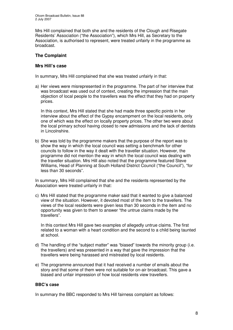Mrs Hill complained that both she and the residents of the Clough and Risegate Residents' Association ("the Association"), which Mrs Hill, as Secretary to the Association, is authorised to represent, were treated unfairly in the programme as broadcast.

### **The Complaint**

### **Mrs Hill's case**

In summary, Mrs Hill complained that she was treated unfairly in that:

a) Her views were misrepresented in the programme. The part of her interview that was broadcast was used out of context, creating the impression that the main objection of local people to the travellers was the effect that they had on property prices.

In this context, Mrs Hill stated that she had made three specific points in her interview about the effect of the Gypsy encampment on the local residents, only one of which was the effect on locally property prices. The other two were about the local primary school having closed to new admissions and the lack of dentists in Lincolnshire.

b) She was told by the programme makers that the purpose of the report was to show the way in which the local council was setting a benchmark for other councils to follow in the way it dealt with the traveller situation. However, the programme did not mention the way in which the local council was dealing with the traveller situation. Mrs Hill also noted that the programme featured Steve Williams, Head of Planning at South Holland District Council ("the Council"), "for less than 30 seconds".

In summary, Mrs Hill complained that she and the residents represented by the Association were treated unfairly in that:

c) Mrs Hill stated that the programme maker said that it wanted to give a balanced view of the situation. However, it devoted most of the item to the travellers. The views of the local residents were given less than 30 seconds in the item and no opportunity was given to them to answer "the untrue claims made by the travellers".

In this context Mrs Hill gave two examples of allegedly untrue claims. The first related to a woman with a heart condition and the second to a child being taunted at school.

- d) The handling of the "subject matter" was "biased" towards the minority group (i.e. the travellers) and was presented in a way that gave the impression that the travellers were being harassed and mistreated by local residents.
- e) The programme announced that it had received a number of emails about the story and that some of them were not suitable for on-air broadcast. This gave a biased and unfair impression of how local residents view travellers.

### **BBC's case**

In summary the BBC responded to Mrs Hill fairness complaint as follows: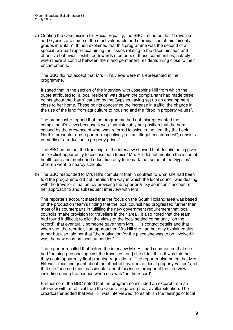a) Quoting the Commission for Racial Equality, the BBC first noted that "Travellers and Gypsies are some of the most vulnerable and marginalised ethnic minority groups in Britain". It then explained that this programme was the second of a special two-part report examining the issues relating to the discrimination and offensive behaviour exhibited towards members of these communities, notably when there is conflict between them and permanent residents living close to their encampments.

The BBC did not accept that Mrs Hill's views were misrepresented in the programme.

It stated that in the section of the interview with Josephine Hill from which the quote attributed to "a local resident" was drawn the complainant had made three points about the "harm" caused by the Gypsies having set up an encampment close to her home. These points concerned the increase in traffic, the change in the use of the land from agriculture to housing and the "drop in property values".

The broadcaster argued that the programme had not misrepresented the complainant's views because it was "unmistakably her position that the harm caused by the presence of what was referred to twice in the item [by the Look North's presenter and reporter, respectively] as an "illegal encampment", consists primarily of a reduction in property prices".

The BBC noted that the transcript of the interview showed that despite being given an "explicit opportunity to discuss both topics" Mrs Hill did not mention the issue of health care and mentioned education only to remark that some of the Gypsies' children went to nearby schools.

b) The BBC responded to Mrs Hill's complaint that in contrast to what she had been told the programme did not mention the way in which the local council was dealing with the traveller situation, by providing the reporter Vicky Johnson's account of her approach to and subsequent interview with Mrs Hill.

The reporter's account stated that the focus on the South Holland area was based on the production team's finding that the local council had progressed further than most of its counterparts in fulfilling the new government requirement that local councils "make provision for travellers in their area". It also noted that the team had found it difficult to elicit the views of the local settled community "on the record"; that eventually someone gave them Mrs Hill's contact details and that when she, the reporter, had approached Mrs Hill she had not only explained this to her but also told her that "the motivation for the piece she was to be involved in was the new onus on local authorities".

The reporter recalled that before the interview Mrs Hill had commented that she had "nothing personal against the travellers [but] she didn't think it was fair that they could apparently flout planning regulations". The reporter also noted that Mrs Hill was "most indignant about the effect of travellers on local property values" and that she "seemed most passionate" about this issue throughout the interview including during the periods when she was "on the record".

Furthermore, the BBC noted that the programme included an excerpt from an interview with an official from the Council regarding the traveller situation. The broadcaster added that Mrs Hill was interviewed "to establish the feelings of local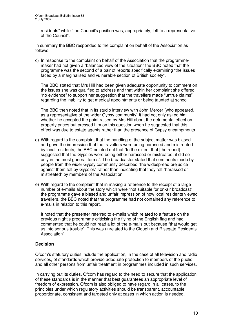residents" while "the Council's position was, appropriately, left to a representative of the Council".

In summary the BBC responded to the complaint on behalf of the Association as follows:

c) In response to the complaint on behalf of the Association that the programmemaker had not given a "balanced view of the situation" the BBC noted that the programme was the second of a pair of reports specifically examining "the issues faced by a marginalised and vulnerable section of British society".

The BBC stated that Mrs Hill had been given adequate opportunity to comment on the issues she was qualified to address and that within her complaint she offered "no evidence" to support her suggestion that the travellers made "untrue claims" regarding the inability to get medical appointments or being taunted at school.

The BBC then noted that in its studio interview with John Mercer (who appeared, as a representative of the wider Gypsy community) it had not only asked him whether he accepted the point raised by Mrs Hill about the detrimental effect on property prices but pressed him on this question when he suggested that this effect was due to estate agents rather than the presence of Gypsy encampments.

- d) With regard to the complaint that the handling of the subject matter was biased and gave the impression that the travellers were being harassed and mistreated by local residents, the BBC pointed out that "to the extent that [the report] suggested that the Gypsies were being either harassed or mistreated, it did so only in the most general terms". The broadcaster stated that comments made by people from the wider Gypsy community described "the widespread prejudice against them felt by Gypsies" rather than indicating that they felt "harassed or mistreated" by members of the Association.
- e) With regard to the complaint that in making a reference to the receipt of a large number of e-mails about the story which were "not suitable for on-air broadcast" the programme gave a biased and unfair impression of how local residents viewed travellers, the BBC noted that the programme had not contained any reference to e-mails in relation to this report.

It noted that the presenter referred to e-mails which related to a feature on the previous night's programme criticising the flying of the English flag and had commented that he could not read a lot of the e-mails out because "that would get us into serious trouble". This was unrelated to the Clough and Risegate Residents' Association".

### **Decision**

Ofcom's statutory duties include the application, in the case of all television and radio services, of standards which provide adequate protection to members of the public and all other persons from unfair treatment in programmes included in such services.

In carrying out its duties, Ofcom has regard to the need to secure that the application of these standards is in the manner that best guarantees an appropriate level of freedom of expression. Ofcom is also obliged to have regard in all cases, to the principles under which regulatory activities should be transparent, accountable, proportionate, consistent and targeted only at cases in which action is needed.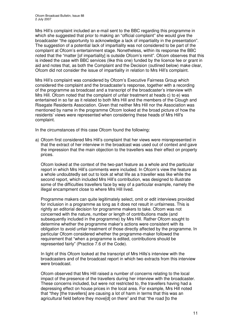Mrs Hill's complaint included an e-mail sent to the BBC regarding this programme in which she suggested that prior to making an "official complaint" she would give the broadcaster "the opportunity to acknowledge a lack of impartiality in the presentation". The suggestion of a potential lack of impartiality was not considered to be part of the complaint at Ofcom's entertainment stage. Nonetheless, within its response the BBC noted that the "matter [of impartiality] is outside Ofcom's remit". Ofcom observes that this is indeed the case with BBC services (like this one) funded by the licence fee or grant in aid and notes that, as both the Complaint and the Decision (outlined below) make clear, Ofcom did not consider the issue of impartiality in relation to Mrs Hill's complaint.

Mrs Hill's complaint was considered by Ofcom's Executive Fairness Group which considered the complaint and the broadcaster's response, together with a recording of the programme as broadcast and a transcript of the broadcaster's interview with Mrs Hill. Ofcom noted that the complaint of unfair treatment at heads c) to e) was entertained in so far as it related to both Mrs Hill and the members of the Clough and Risegate Residents Association. Given that neither Mrs Hill nor the Association was mentioned by name in the programme Ofcom looked at the broad picture of how the residents' views were represented when considering these heads of Mrs Hill's complaint.

In the circumstances of this case Ofcom found the following:

a) Ofcom first considered Mrs Hill's complaint that her views were misrepresented in that the extract of her interview in the broadcast was used out of context and gave the impression that the main objection to the travellers was their effect on property prices.

Ofcom looked at the context of the two-part feature as a whole and the particular report in which Mrs Hill's comments were included. In Ofcom's view the feature as a whole undoubtedly set out to look at what life as a traveller was like while the second report, which included Mrs Hill's contribution, was designed to illustrate some of the difficulties travellers face by way of a particular example, namely the illegal encampment close to where Mrs Hill lived.

Programme makers can quite legitimately select, omit or edit interviews provided for inclusion in a programme as long as it does not result in unfairness. This is rightly an editorial decision for programme makers to take. Ofcom was not concerned with the nature, number or length of contributions made (and subsequently included in the programme) by Mrs Hill. Rather Ofcom sought to determine whether the programme maker's actions were consistent with its obligation to avoid unfair treatment of those directly affected by the programme. In particular Ofcom considered whether the programme-maker followed the requirement that "when a programme is edited, contributions should be represented fairly" (Practice 7.6 of the Code).

In light of this Ofcom looked at the transcript of Mrs Hills's interview with the broadcasters and of the broadcast report in which two extracts from this interview were broadcast.

Ofcom observed that Mrs Hill raised a number of concerns relating to the local impact of the presence of the travellers during her interview with the broadcaster. These concerns included, but were not restricted to, the travellers having had a depressing effect on house prices in the local area. For example, Mrs Hill noted that "they [the travellers] are causing a lot of harm in terms that this was an agricultural field before they move[d] on there" and that "the road [to the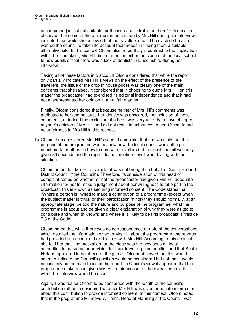encampment] is just not suitable for the increase in traffic on there". Ofcom also observed that some of the other comments made by Mrs Hill during her interview indicated that while she believed that the travellers should be evicted she also wanted the council to take into account their needs in finding them a suitable alternative site. In this context Ofcom also noted that, in contrast to the implication within her complaint, Mrs Hill did not mention either the closure of the local school to new pupils or that there was a lack of dentists in Lincolnshire during her interview.

Taking all of these factors into account Ofcom considered that while the report only partially indicated Mrs Hill's views on the effect of the presence of the travellers, the issue of the drop in house prices was clearly one of the main concerns that she raised. It considered that in choosing to quote Mrs Hill on this matter the broadcaster had exercised its editorial independence and that it had not misrepresented her opinion in an unfair manner.

Finally, Ofcom considered that because neither of Mrs Hill's comments was attributed to her and because her identity was obscured, the inclusion of these comments, or indeed the exclusion of others, was very unlikely to have changed anyone's opinion of Mrs Hill and did not result in unfairness to her. Ofcom found no unfairness to Mrs Hill in this respect.

b) Ofcom then considered Mrs Hill's second complaint that she was told that the purpose of the programme was to show how the local council was setting a benchmark for others in how to deal with travellers but the local council was only given 30 seconds and the report did not mention how it was dealing with the situation.

Ofcom noted that Mrs Hill's complaint was not brought on behalf of South Holland District Council ("the Council"). Therefore, its consideration of this head of complaint rested on whether or not the broadcaster had given Mrs Hill adequate information for her to make a judgement about her willingness to take part in the broadcast, this is known as securing informed consent. The Code states that "Where a person is invited to make a contribution to a programme (except when the subject matter is trivial or their participation minor) they should normally, at an appropriate stage, be told the nature and purpose of the programme, what the programme is about and be given a clear explanation of why they were asked to contribute and when (if known) and where it is likely to be first broadcast" (Practice 7.3 of the Code).

Ofcom noted that while there was no correspondence or note of the conversations which detailed the information given to Mrs Hill about the programme, the reporter had provided an account of her dealings with Mrs Hill. According to this account she told her that "the motivation for the piece was the new onus on local authorities to make better provision for their travelling communities and that South Holland appeared to be ahead of the game". Ofcom observed that this would seem to indicate the Council's position would be considered but not that it would necessarily be the main focus of the report. In Ofcom's view it appeared that the programme makers had given Mrs Hill a fair account of the overall context in which her interview would be used.

Again, it was not for Ofcom to be concerned with the length of the council's contribution rather it considered whether Mrs Hill was given adequate information about this contribution to provide informed consent. In this context, Ofcom noted that in the programme Mr Steve Williams, Head of Planning at the Council, was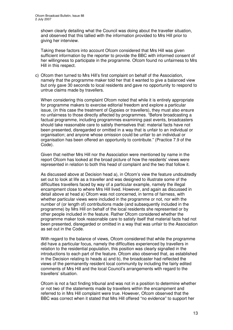shown clearly detailing what the Council was doing about the traveller situation, and observed that this tallied with the information provided to Mrs Hill prior to giving her interview.

Taking these factors into account Ofcom considered that Mrs Hill was given sufficient information by the reporter to provide the BBC with informed consent of her willingness to participate in the programme. Ofcom found no unfairness to Mrs Hill in this respect.

c) Ofcom then turned to Mrs Hill's first complaint on behalf of the Association, namely that the programme maker told her that it wanted to give a balanced view but only gave 30 seconds to local residents and gave no opportunity to respond to untrue claims made by travellers.

When considering this complaint Ofcom noted that while it is entirely appropriate for programme makers to exercise editorial freedom and explore a particular issue, (in this case the treatment of Gypsies or travellers), they must also ensure no unfairness to those directly affected by programmes. "Before broadcasting a factual programme, including programmes examining past events, broadcasters should take reasonable care to satisfy themselves that: material facts have not been presented, disregarded or omitted in a way that is unfair to an individual or organisation; and anyone whose omission could be unfair to an individual or organisation has been offered an opportunity to contribute." (Practice 7.9 of the Code).

Given that neither Mrs Hill nor the Association were mentioned by name in the report Ofcom has looked at the broad picture of how the residents' views were represented in relation to both this head of complaint and the two that follow it.

As discussed above at Decision head a), in Ofcom's view the feature undoubtedly set out to look at life as a traveller and was designed to illustrate some of the difficulties travellers faced by way of a particular example, namely the illegal encampment close to where Mrs Hill lived. However, and again as discussed in detail above at head a) Ofcom was not concerned, in terms of fairness, with whether particular views were included in the programme or not, nor with the number of (or length of) contributions made (and subsequently included in the programme) by Mrs Hill on behalf of the local residents she represented or by other people included in the feature. Rather Ofcom considered whether the programme maker took reasonable care to satisfy itself that material facts had not been presented, disregarded or omitted in a way that was unfair to the Association as set out in the Code.

With regard to the balance of views, Ofcom considered that while the programme did have a particular focus, namely the difficulties experienced by travellers in relation to the residential population, this position was clearly signalled in the introductions to each part of the feature. Ofcom also observed that, as established in the Decision relating to heads a) and b), the broadcaster had reflected the views of the permanently resident local community by including the fairly edited comments of Mrs Hill and the local Council's arrangements with regard to the travellers' situation.

Ofcom is not a fact finding tribunal and was not in a position to determine whether or not two of the statements made by travellers within the encampment and referred to in Mrs Hill complaint were true. However, Ofcom observed that the BBC was correct when it stated that Mrs Hill offered "no evidence" to support her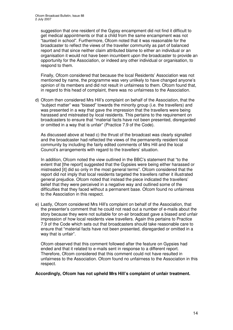suggestion that one resident of the Gypsy encampment did not find it difficult to get medical appointments or that a child from the same encampment was not "taunted in school". Furthermore, Ofcom noted that it was reasonable for the broadcaster to reflect the views of the traveller community as part of balanced report and that since neither claim attributed blame to either an individual or an organisation it would not have been incumbent upon the broadcaster to provide an opportunity for the Association, or indeed any other individual or organisation, to respond to them.

Finally, Ofcom considered that because the local Residents' Association was not mentioned by name, the programme was very unlikely to have changed anyone's opinion of its members and did not result in unfairness to them. Ofcom found that, in regard to this head of complaint, there was no unfairness to the Association.

d) Ofcom then considered Mrs Hill's complaint on behalf of the Association, that the "subject matter" was "biased" towards the minority group (i.e. the travellers) and was presented in a way that gave the impression that the travellers were being harassed and mistreated by local residents. This pertains to the requirement on broadcasters to ensure that "material facts have not been presented, disregarded or omitted in a way that is unfair" (Practice 7.9 of the Code).

As discussed above at head c) the thrust of the broadcast was clearly signalled and the broadcaster had reflected the views of the permanently resident local community by including the fairly edited comments of Mrs Hill and the local Council's arrangements with regard to the travellers' situation.

In addition, Ofcom noted the view outlined in the BBC's statement that "to the extent that [the report] suggested that the Gypsies were being either harassed or mistreated [it] did so only in the most general terms". Ofcom considered that the report did not imply that local residents targeted the travellers rather it illustrated general prejudice. Ofcom noted that instead the piece indicated the travellers' belief that they were perceived in a negative way and outlined some of the difficulties that they faced without a permanent base. Ofcom found no unfairness to the Association in this respect.

e) Lastly, Ofcom considered Mrs Hill's complaint on behalf of the Association, that the presenter's comment that he could not read out a number of e-mails about the story because they were not suitable for on-air broadcast gave a biased and unfair impression of how local residents view travellers. Again this pertains to Practice 7.9 of the Code which sets out that broadcasters should take reasonable care to ensure that "material facts have not been presented, disregarded or omitted in a way that is unfair".

Ofcom observed that this comment followed after the feature on Gypsies had ended and that it related to e-mails sent in response to a different report. Therefore, Ofcom considered that this comment could not have resulted in unfairness to the Association. Ofcom found no unfairness to the Association in this respect.

**Accordingly, Ofcom has not upheld Mrs Hill's complaint of unfair treatment.**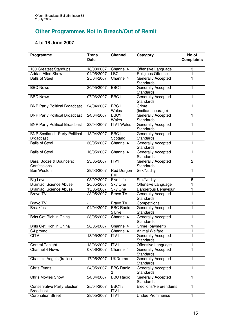# **Other Programmes Not in Breach/Out of Remit**

### **4 to 18 June 2007**

| Programme                                                 | <b>Trans</b><br><b>Date</b> | <b>Channel</b>             | Category                                      | No of<br><b>Complaints</b> |
|-----------------------------------------------------------|-----------------------------|----------------------------|-----------------------------------------------|----------------------------|
|                                                           |                             |                            |                                               |                            |
| 100 Greatest Standups                                     | 18/03/2007                  | Channel 4                  | Offensive Language                            | 3                          |
| <b>Adrian Allen Show</b>                                  | 04/05/2007                  | <b>LBC</b>                 | Religious Offence                             | 1                          |
| <b>Balls of Steel</b>                                     | 25/04/2007                  | Channel 4                  | Generally Accepted                            | 1                          |
| <b>BBC News</b>                                           |                             | BBC <sub>1</sub>           | <b>Standards</b>                              | 1                          |
|                                                           | 30/05/2007                  |                            | Generally Accepted<br><b>Standards</b>        |                            |
| <b>BBC News</b>                                           | 07/06/2007                  | BBC1                       | Generally Accepted<br><b>Standards</b>        | 1                          |
| <b>BNP Party Political Broadcast</b>                      | 24/04/2007                  | BBC1<br>Wales              | Crime<br>(incite/encourage)                   | 1                          |
| <b>BNP Party Political Broadcast</b>                      | 24/04/2007                  | BBC1<br>Wales              | Generally Accepted<br><b>Standards</b>        | 1                          |
| <b>BNP Party Political Broadcast</b>                      | 23/04/2007                  | <b>ITV1 Wales</b>          | <b>Generally Accepted</b><br><b>Standards</b> | 1                          |
| <b>BNP Scotland - Party Political</b><br><b>Broadcast</b> | 13/04/2007                  | BBC1<br>Scotand            | Generally Accepted<br><b>Standards</b>        | $\mathbf{1}$               |
| <b>Balls of Steel</b>                                     | 30/05/2007                  | Channel 4                  | <b>Generally Accepted</b><br><b>Standards</b> | 1                          |
| <b>Balls of Steel</b>                                     | 16/05/2007                  | Channel 4                  | Generally Accepted<br><b>Standards</b>        | $\mathbf{1}$               |
| Bars, Booze & Bouncers:<br>Confessions                    | 23/05/2007                  | ITVI                       | Generally Accepted<br><b>Standards</b>        | $\overline{c}$             |
| Ben Weston                                                | 29/03/2007                  | Red Dragon<br><b>FM</b>    | Sex/Nudity                                    | 1                          |
| <b>Big Love</b>                                           | 08/02/2007                  | <b>Five Life</b>           | Sex/Nudity                                    | 5                          |
| <b>Brainiac: Science Abuse</b>                            | 26/05/2007                  | Sky One                    | Offensive Language                            | $\mathbf{1}$               |
| <b>Brainiac: Science Abuse</b>                            | 15/05/2007                  | Sky One                    | Dangerous Behaviour                           | 1                          |
| <b>Bravo TV</b>                                           | 23/05/2007                  | <b>Bravo TV</b>            | Generally Accepted<br><b>Standards</b>        | $\overline{1}$             |
| Bravo TV                                                  |                             | Bravo TV                   | Competitions                                  | 1                          |
| <b>Breakfast</b>                                          | 04/04/2007                  | <b>BBC Radio</b><br>5 Live | Generally Accepted<br><b>Standards</b>        | $\overline{1}$             |
| Brits Get Rich in China                                   | 28/05/2007                  | Channel 4                  | Generally Accepted<br><b>Standards</b>        | 1                          |
| Brits Get Rich in China                                   | 28/05/2007                  | Channel 4                  | Crime (payment)                               | 1                          |
| C4 promo                                                  |                             | Channel 4                  | <b>Animal Welfare</b>                         | 1                          |
| CITV                                                      | 13/05/2007                  | ITV1                       | Generally Accepted<br><b>Standards</b>        | 1                          |
| <b>Central Tonight</b>                                    | 13/06/2007                  | ITV1                       | Offensive Language                            | 1                          |
| Channel 4 News                                            | 07/06/2007                  | Channel 4                  | Generally Accepted<br><b>Standards</b>        | 1                          |
| Charlie's Angels (trailer)                                | 17/05/2007                  | <b>UKDrama</b>             | Generally Accepted<br>Standards               | 1                          |
| <b>Chris Evans</b>                                        | 24/05/2007                  | <b>BBC Radio</b><br>2      | Generally Accepted<br>Standards               | 1                          |
| <b>Chris Moyles Show</b>                                  | 24/04/2007                  | <b>BBC Radio</b>           | <b>Generally Accepted</b><br><b>Standards</b> | 1                          |
| <b>Conservative Party Election</b><br><b>Broadcast</b>    | 25/04/2007                  | BBC1/<br>ITV1              | Elections/Referendums                         | 1                          |
| <b>Coronation Street</b>                                  | 28/05/2007                  | ITV1                       | <b>Undue Prominence</b>                       | 1                          |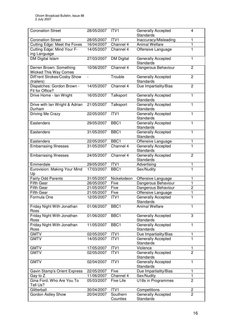| <b>Coronation Street</b>                                | 28/05/2007 | ITV1                 | Generally Accepted<br><b>Standards</b>        | $\overline{4}$ |
|---------------------------------------------------------|------------|----------------------|-----------------------------------------------|----------------|
| <b>Coronation Street</b>                                | 28/05/2007 | ITV1                 | Inaccuracy/Misleading                         | 1              |
| Cutting Edge: Meet the Foxes                            | 16/04/2007 | Channel 4            | Animal Welfare                                | $\mathbf{1}$   |
| Cutting Edge: Mind Your F-<br>ing Language              | 14/05/2007 | Channel 4            | Offensive Language                            | $\mathbf{1}$   |
| <b>DM Digital Islam</b>                                 | 27/03/2007 | <b>DM Digital</b>    | Generally Accepted<br><b>Standards</b>        | 1              |
| Derren Brown: Something<br><b>Wicked This Way Comes</b> | 10/06/2007 | Channel 4            | Dangerous Behaviour                           | $\overline{2}$ |
| Diff'rent Strokes/Cosby Show<br>(trailers)              |            | Trouble              | Generally Accepted<br><b>Standards</b>        | $\overline{2}$ |
| Dispatches: Gordon Brown -<br>Fit for Office?           | 14/05/2007 | Channel 4            | Due Impartiality/Bias                         | $\overline{2}$ |
| Drive Home - Ian Wright                                 | 16/05/2007 | Talksport            | Generally Accepted<br><b>Standards</b>        | $\mathbf{1}$   |
| Drive with Ian Wright & Adrian<br>Durham                | 21/05/2007 | Talksport            | <b>Generally Accepted</b><br>Standards        | 1              |
| Driving Me Crazy                                        | 22/05/2007 | ITV1                 | Generally Accepted<br>Standards               | 1              |
| Eastenders                                              | 29/05/2007 | BBC <sub>1</sub>     | <b>Generally Accepted</b><br><b>Standards</b> | $\mathbf{1}$   |
| Eastenders                                              | 31/05/2007 | BBC1                 | Generally Accepted<br><b>Standards</b>        | 1              |
| Eastenders                                              | 22/05/2007 | BBC1                 | Offensive Language                            | 1              |
| <b>Embarrasing Illnesses</b>                            | 31/05/2007 | Channel 4            | Generally Accepted<br><b>Standards</b>        | ī              |
| <b>Embarrasing Illnesses</b>                            | 24/05/2007 | Channel 4            | Generally Accepted<br><b>Standards</b>        | $\overline{c}$ |
| Emmerdale                                               | 29/05/2007 | ITV1                 | Advertising                                   | 1              |
| Eurovision: Making Your Mind<br>Up                      | 17/03/2007 | BBC1                 | Sex/Nudity                                    | $\mathbf{1}$   |
| <b>Fairly Odd Parents</b>                               | 31/05/2007 | Nickelodeon          | Offensive Language                            | 1              |
| <b>Fifth Gear</b>                                       | 26/05/2007 | Five                 | Dangerous Behaviour                           | 1              |
| <b>Fifth Gear</b>                                       | 21/05/2007 | Five                 | Dangerous Behaviour                           | $\overline{2}$ |
| <b>Fifth Gear</b>                                       | 21/05/2007 | Five                 | Offensive Language                            | 1              |
| Formula One                                             | 12/05/2007 | ITV1                 | <b>Generally Accepted</b><br><b>Standards</b> | 1              |
| Friday Night With Jonathan<br>Ross                      | 01/06/2007 | BBC <sub>1</sub>     | <b>Animal Welfare</b>                         | 1              |
| Friday Night With Jonathan<br>Ross                      | 01/06/2007 | BBC1                 | Generally Accepted<br>Standards               | 3              |
| Friday Night With Jonathan<br>Ross                      | 11/05/2007 | BBC <sub>1</sub>     | Generally Accepted<br>Standards               | 1              |
| <b>GMTV</b>                                             | 02/05/2007 | ITV1                 | Due Impartiality/Bias                         | 1              |
| <b>GMTV</b>                                             | 14/05/2007 | ITV <sub>1</sub>     | Generally Accepted<br>Standards               | 1              |
| <b>GMTV</b>                                             | 17/05/2007 | ITV1                 | Violence                                      | 1              |
| <b>GMTV</b>                                             | 02/05/2007 | ITV1                 | Generally Accepted<br>Standards               | $\overline{2}$ |
| <b>GMTV</b>                                             | 02/04/2007 | ITV1                 | Generally Accepted<br>Standards               | 1              |
| Gavin Stamp's Orient Express                            | 22/05/2007 | Five                 | Due Impartiality/Bias                         | 1              |
| Gay to Z                                                | 11/06/2007 | Channel 4            | Sex/Nudity                                    | 1              |
| Gina Ford: Who Are You To<br>Tell Us?                   | 05/03/2007 | Five Life            | U18s in Programmes                            | $\overline{2}$ |
| Glitterball                                             | 30/04/2007 | ITV1                 | Competitions                                  | 2              |
| Gordon Astley Show                                      | 20/04/2007 | Southern<br>Counties | Generally Accepted<br><b>Standards</b>        | $\overline{2}$ |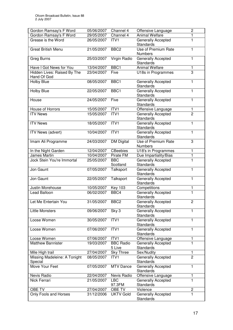| Gordon Ramsay's F Word                  | 05/06/2007 | Channel 4            | Offensive Language                            | $\overline{2}$ |
|-----------------------------------------|------------|----------------------|-----------------------------------------------|----------------|
| Gordon Ramsay's F Word                  | 29/05/2007 | Channel 4            | <b>Animal Welfare</b>                         | 1              |
| Grease is the Word                      | 26/05/2007 | ITV1                 | Generally Accepted<br><b>Standards</b>        | 1              |
| <b>Great British Menu</b>               | 21/05/2007 | BBC <sub>2</sub>     | Use of Premium Rate<br><b>Numbers</b>         | 1              |
| Greg Burns                              | 25/03/2007 | Virgin Radio         | <b>Generally Accepted</b><br><b>Standards</b> | 1              |
| Have I Got News for You                 | 13/04/2007 | BBC1                 | <b>Animal Welfare</b>                         | 1              |
| Hidden Lives: Raised By The             | 23/04/2007 | Five                 | U18s in Programmes                            | 3              |
| Hand Of God                             |            |                      |                                               |                |
| <b>Holby Blue</b>                       | 08/05/2007 | BBC1                 | Generally Accepted<br><b>Standards</b>        | 1              |
| <b>Holby Blue</b>                       | 22/05/2007 | BBC <sub>1</sub>     | <b>Generally Accepted</b><br><b>Standards</b> | $\mathbf{1}$   |
| House                                   | 24/05/2007 | Five                 | Generally Accepted<br>Standards               | $\mathbf{1}$   |
| House of Horrors                        | 15/05/2007 | ITV1                 | Offensive Language                            | 1              |
| <b>ITV News</b>                         | 15/05/2007 | ITVI                 | Generally Accepted                            | $\overline{2}$ |
|                                         |            |                      | Standards                                     |                |
| <b>ITV News</b>                         | 18/05/2007 | ITV1                 | Generally Accepted<br>Standards               | $\mathbf{1}$   |
| ITV News (advert)                       | 10/04/2007 | ITV <sub>1</sub>     | <b>Generally Accepted</b><br><b>Standards</b> | 1              |
| Imam Ali Programme                      | 24/03/2007 | <b>DM Digital</b>    | Use of Premium Rate<br><b>Numbers</b>         | 3              |
| In the Night Garden                     | 12/04/2007 | <b>CBeebies</b>      | U18's in Programmes                           | 1              |
| James Martin                            | 10/04/2007 | Pirate FM            | Due Impartiality/Bias                         | 1              |
| Jock Stein You're Immortal              | 25/05/2007 | <b>BBC</b>           | <b>Generally Accepted</b>                     | $\overline{1}$ |
|                                         |            | Scotland             | <b>Standards</b>                              |                |
| Jon Gaunt                               | 07/05/2007 | Talksport            | Generally Accepted<br><b>Standards</b>        | 1              |
| Jon Gaunt                               | 22/05/2007 | Talksport            | Generally Accepted<br><b>Standards</b>        | 1              |
| <b>Justin Morehouse</b>                 | 10/05/2007 | <b>Key 103</b>       | Competitions                                  | 1              |
| Lead Balloon                            | 06/02/2007 | BBC <sub>4</sub>     | Generally Accepted<br><b>Standards</b>        | 1              |
| Let Me Entertain You                    | 31/05/2007 | BBC <sub>2</sub>     | <b>Generally Accepted</b><br><b>Standards</b> | $\overline{2}$ |
| <b>Little Monsters</b>                  | 09/06/2007 | Sky 3                | <b>Generally Accepted</b><br><b>Standards</b> | 1              |
| Loose Women                             | 30/05/2007 | ITV1                 | Generally Accepted<br><b>Standards</b>        | 1              |
| Loose Women                             | 07/06/2007 | ITVI                 | Generally Accepted<br><b>Standards</b>        | 1              |
| Loose Women                             | 07/06/2007 | ITV1                 | Offensive Language                            | 1              |
| <b>Matthew Bannister</b>                | 19/03/2007 | <b>BBC Radio</b>     | Generally Accepted                            | $\mathbf 1$    |
|                                         |            | 5 Live               | <b>Standards</b>                              |                |
| Mile High trail                         | 27/04/2007 | <b>Sky Three</b>     | Sex/Nudity                                    | 1              |
| Missing Madeleine: A Tonight<br>Special | 08/05/2007 | ITV1                 | Generally Accepted<br><b>Standards</b>        | $\overline{2}$ |
| Move Your Feet                          | 07/05/2007 | <b>MTV Dance</b>     | Generally Accepted<br><b>Standards</b>        | 1              |
| Nevis Radio                             | 22/04/2007 | Nevis Radio          | Offensive Language                            | 1              |
| Nick Ferrari                            | 21/05/2007 | <b>LBC</b><br>97.3FM | Generally Accepted<br><b>Standards</b>        | 1              |
| OBE TV                                  | 27/04/2007 | OBE TV               | Violence                                      | 2              |
| Only Fools and Horses                   | 31/12/2006 | <b>UKTV Gold</b>     | Generally Accepted<br><b>Standards</b>        | $\mathbf{1}$   |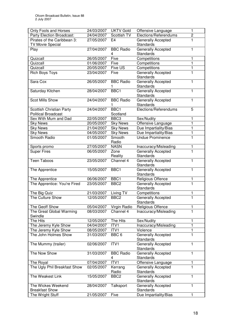| Only Fools and Horses        | 24/03/2007 | <b>UKTV Gold</b>      | Offensive Language                            | 1              |
|------------------------------|------------|-----------------------|-----------------------------------------------|----------------|
| Party Election Broadcast:    | 24/04/2007 | Scottish TV           | Elections/Referendums                         | 2              |
| Pirates of the Caribbean 3:  | 27/05/2007 | E <sub>4</sub>        | <b>Generally Accepted</b>                     | ī              |
| <b>TV Movie Special</b>      |            |                       | <b>Standards</b>                              |                |
| Play                         | 27/04/2007 | <b>BBC Radio</b>      | Generally Accepted                            | 1              |
|                              |            | 4                     | <b>Standards</b>                              |                |
| Quizcall                     | 26/05/2007 | Five                  | Competitions                                  | 1              |
| Quizcall                     | 01/06/2007 | Five                  | Competitions                                  | 1              |
| Quizcall                     | 20/05/2007 | Five US               | Competitions                                  | $\mathbf{1}$   |
| <b>Rich Boys Toys</b>        | 23/04/2007 | Five                  | Generally Accepted<br><b>Standards</b>        | $\mathbf{1}$   |
| Sara Cox                     | 26/05/2007 | <b>BBC Radio</b>      | Generally Accepted<br>Standards               | 1              |
| Saturday Kitchen             | 28/04/2007 | BBC <sub>1</sub>      | Generally Accepted<br><b>Standards</b>        | 1              |
| <b>Scot Mills Show</b>       | 24/04/2007 | <b>BBC Radio</b>      | <b>Generally Accepted</b><br><b>Standards</b> | 1              |
| Scottish Christian Party     | 24/04/2007 | BBC1                  | Elections/Referendums                         | 5              |
| <b>Political Broadcast</b>   |            | Scotland              |                                               |                |
| Sex With Mum and Dad         | 22/05/2007 | BBC <sub>3</sub>      | Sex/Nudity                                    | 1              |
| <b>Sky News</b>              | 20/05/2007 | <b>Sky News</b>       | Offensive Language                            | 1              |
| <b>Sky News</b>              | 21/04/2007 | <b>Sky News</b>       | Due Impartiality/Bias                         | 1              |
| <b>Sky News</b>              | 04/05/2007 | <b>Sky News</b>       | Due Impartiality/Bias                         | 1              |
| <b>Smooth Radio</b>          | 01/05/2007 | Smooth                | <b>Undue Prominence</b>                       | 1              |
|                              |            | Radio                 |                                               |                |
| Sports promo                 | 27/05/2007 | <b>NASN</b>           | Inaccuracy/Misleading                         | 1              |
| <b>Super Fires</b>           | 06/05/2007 | Zone                  | Generally Accepted                            | 1              |
|                              |            | Reality               | Standards                                     |                |
| <b>Teen Taboos</b>           | 23/05/2007 | Channel 4             | Generally Accepted                            | 1              |
|                              |            |                       | Standards                                     |                |
| The Apprentice               | 15/05/2007 | BBC1                  | Generally Accepted                            | 1              |
|                              |            |                       | Standards                                     |                |
| The Apprentice               | 06/06/2007 | BBC1                  | Religious Offence                             | 1              |
| The Apprentice: You're Fired | 23/05/2007 | BBC <sub>2</sub>      | Generally Accepted<br><b>Standards</b>        | $\overline{1}$ |
| The Big Quiz                 | 21/03/2007 | Living TV             | Competitions                                  | 1              |
| The Culture Show             | 12/05/2007 | BBC <sub>2</sub>      | Generally Accepted                            | ī              |
|                              |            |                       | Standards                                     |                |
| The Geoff Show               | 05/04/2007 | Virgin Radio          | Religious Offence                             | 1              |
| The Great Global Warming     | 08/03/2007 | Channel 4             | Inaccuracy/Misleading                         | 1              |
| Swindle                      |            |                       |                                               |                |
| The Hits                     | 12/05/2007 | The Hits              | Sex/Nudity                                    | 1              |
| The Jeremy Kyle Show         | 04/04/2007 | ITV1                  | Inaccuracy/Misleading                         | 1              |
| The Jeremy Kyle Show         | 08/05/2007 | ITV1                  | Violence                                      | 1              |
| The John Holmes Show         | 31/03/2007 | BBC 6                 | Generally Accepted<br><b>Standards</b>        | 1              |
| The Mummy (trailer)          | 02/06/2007 | ITV1                  | Generally Accepted<br>Standards               | 1              |
| The Now Show                 | 31/03/2007 | <b>BBC Radio</b><br>4 | Generally Accepted<br><b>Standards</b>        | 1              |
| The Royal                    | 07/04/2007 | ITV1                  | Offensive Language                            | 1              |
| The Ugly Phil Breakfast Show | 02/05/2007 | Kerrang               | <b>Generally Accepted</b>                     | 1              |
|                              |            | Radio                 | Standards                                     |                |
| The Weakest Link             | 15/05/2007 | BBC <sub>2</sub>      | Generally Accepted<br>Standards               | 1              |
| The Wickes Weekend           | 28/04/2007 | Talksport             | Generally Accepted                            | 1              |
| <b>Breakfast Show</b>        |            |                       | Standards                                     |                |
| The Wright Stuff             | 21/05/2007 | Five                  | Due Impartiality/Bias                         | 1              |